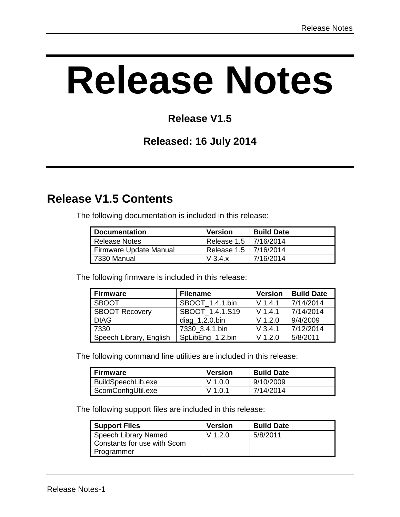# **Release Notes**

## **Release V1.5**

#### **Released: 16 July 2014**

## **Release V1.5 Contents**

The following documentation is included in this release:

| <b>Documentation</b>   | <b>Version</b>          | <b>Build Date</b> |
|------------------------|-------------------------|-------------------|
| Release Notes          | Release 1.5   7/16/2014 |                   |
| Firmware Update Manual | Release 1.5   7/16/2014 |                   |
| 7330 Manual            | V3.4.x                  | 7/16/2014         |

The following firmware is included in this release:

| <b>Firmware</b>         | <b>Filename</b>   | <b>Version</b> | <b>Build Date</b> |
|-------------------------|-------------------|----------------|-------------------|
| <b>SBOOT</b>            | SBOOT 1.4.1.bin   | $V$ 1.4.1      | 7/14/2014         |
| <b>SBOOT Recovery</b>   | SBOOT 1.4.1.S19   | $V$ 1.4.1      | 7/14/2014         |
| <b>DIAG</b>             | $diag_1.2.0$ .bin | $V$ 1.2.0      | 9/4/2009          |
| 7330                    | 7330 3.4.1.bin    | $V$ 3.4.1      | 7/12/2014         |
| Speech Library, English | SpLibEng_1.2.bin  | $V$ 1.2.0      | 5/8/2011          |

The following command line utilities are included in this release:

| <b>Firmware</b>    | <b>Version</b> | <b>Build Date</b> |
|--------------------|----------------|-------------------|
| BuildSpeechLib.exe | V 1.0.0        | 9/10/2009         |
| ScomConfigUtil.exe | V 1.0.1        | 7/14/2014         |

The following support files are included in this release:

| <b>Support Files</b>                                | <b>Version</b> | <b>Build Date</b> |
|-----------------------------------------------------|----------------|-------------------|
| Speech Library Named<br>Constants for use with Scom | $V$ 1.2.0      | 5/8/2011          |
| Programmer                                          |                |                   |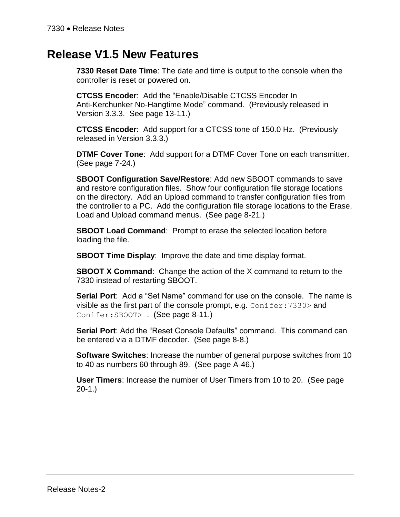#### **Release V1.5 New Features**

**7330 Reset Date Time**: The date and time is output to the console when the controller is reset or powered on.

**CTCSS Encoder**: Add the "Enable/Disable CTCSS Encoder In Anti-Kerchunker No-Hangtime Mode" command. (Previously released in Version 3.3.3. See page 13-11.)

**CTCSS Encoder**: Add support for a CTCSS tone of 150.0 Hz. (Previously released in Version 3.3.3.)

**DTMF Cover Tone**: Add support for a DTMF Cover Tone on each transmitter. (See page 7-24.)

**SBOOT Configuration Save/Restore**: Add new SBOOT commands to save and restore configuration files. Show four configuration file storage locations on the directory. Add an Upload command to transfer configuration files from the controller to a PC. Add the configuration file storage locations to the Erase, Load and Upload command menus. (See page 8-21.)

**SBOOT Load Command**: Prompt to erase the selected location before loading the file.

**SBOOT Time Display**: Improve the date and time display format.

**SBOOT X Command**: Change the action of the X command to return to the 7330 instead of restarting SBOOT.

**Serial Port**: Add a "Set Name" command for use on the console. The name is visible as the first part of the console prompt, e.g.  $Conifer:7330>$  and Conifer:SBOOT> . (See page 8-11.)

**Serial Port**: Add the "Reset Console Defaults" command. This command can be entered via a DTMF decoder. (See page 8-8.)

**Software Switches**: Increase the number of general purpose switches from 10 to 40 as numbers 60 through 89. (See page A-46.)

**User Timers**: Increase the number of User Timers from 10 to 20. (See page 20-1.)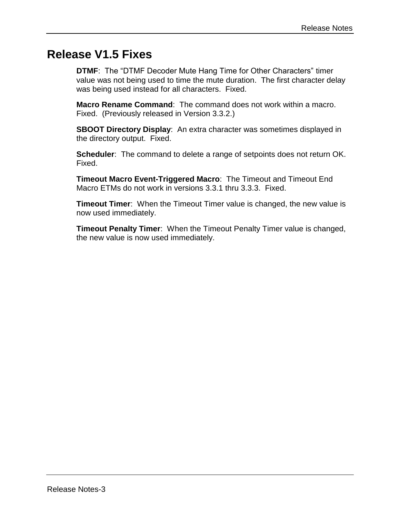## **Release V1.5 Fixes**

**DTMF**: The "DTMF Decoder Mute Hang Time for Other Characters" timer value was not being used to time the mute duration. The first character delay was being used instead for all characters. Fixed.

**Macro Rename Command**: The command does not work within a macro. Fixed. (Previously released in Version 3.3.2.)

**SBOOT Directory Display**: An extra character was sometimes displayed in the directory output. Fixed.

**Scheduler:** The command to delete a range of setpoints does not return OK. Fixed.

**Timeout Macro Event-Triggered Macro**: The Timeout and Timeout End Macro ETMs do not work in versions 3.3.1 thru 3.3.3. Fixed.

**Timeout Timer**: When the Timeout Timer value is changed, the new value is now used immediately.

**Timeout Penalty Timer**: When the Timeout Penalty Timer value is changed, the new value is now used immediately.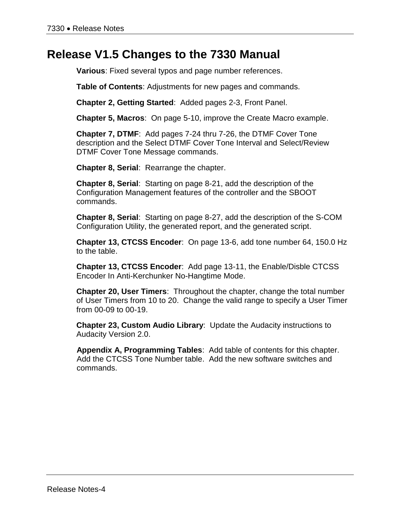#### **Release V1.5 Changes to the 7330 Manual**

**Various**: Fixed several typos and page number references.

**Table of Contents**: Adjustments for new pages and commands.

**Chapter 2, Getting Started**: Added pages 2-3, Front Panel.

**Chapter 5, Macros**: On page 5-10, improve the Create Macro example.

**Chapter 7, DTMF**: Add pages 7-24 thru 7-26, the DTMF Cover Tone description and the Select DTMF Cover Tone Interval and Select/Review DTMF Cover Tone Message commands.

**Chapter 8, Serial**: Rearrange the chapter.

**Chapter 8, Serial**: Starting on page 8-21, add the description of the Configuration Management features of the controller and the SBOOT commands.

**Chapter 8, Serial**: Starting on page 8-27, add the description of the S-COM Configuration Utility, the generated report, and the generated script.

**Chapter 13, CTCSS Encoder**: On page 13-6, add tone number 64, 150.0 Hz to the table.

**Chapter 13, CTCSS Encoder**: Add page 13-11, the Enable/Disble CTCSS Encoder In Anti-Kerchunker No-Hangtime Mode.

**Chapter 20, User Timers**: Throughout the chapter, change the total number of User Timers from 10 to 20. Change the valid range to specify a User Timer from 00-09 to 00-19.

**Chapter 23, Custom Audio Library**: Update the Audacity instructions to Audacity Version 2.0.

**Appendix A, Programming Tables**: Add table of contents for this chapter. Add the CTCSS Tone Number table. Add the new software switches and commands.